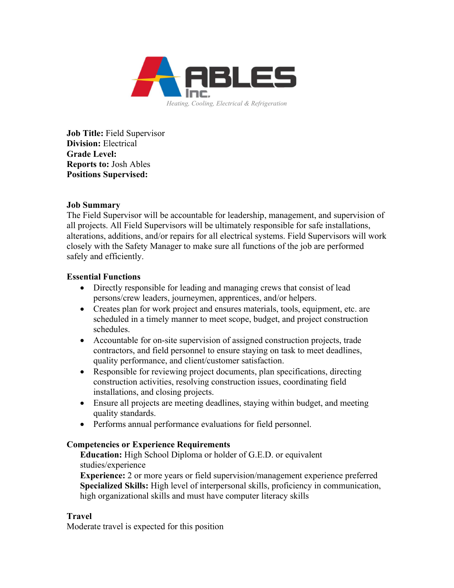

Job Title: Field Supervisor Division: Electrical Grade Level: Reports to: Josh Ables Positions Supervised:

### Job Summary

The Field Supervisor will be accountable for leadership, management, and supervision of all projects. All Field Supervisors will be ultimately responsible for safe installations, alterations, additions, and/or repairs for all electrical systems. Field Supervisors will work closely with the Safety Manager to make sure all functions of the job are performed safely and efficiently.

## Essential Functions

- Directly responsible for leading and managing crews that consist of lead persons/crew leaders, journeymen, apprentices, and/or helpers.
- Creates plan for work project and ensures materials, tools, equipment, etc. are scheduled in a timely manner to meet scope, budget, and project construction schedules.
- Accountable for on-site supervision of assigned construction projects, trade contractors, and field personnel to ensure staying on task to meet deadlines, quality performance, and client/customer satisfaction.
- Responsible for reviewing project documents, plan specifications, directing construction activities, resolving construction issues, coordinating field installations, and closing projects.
- Ensure all projects are meeting deadlines, staying within budget, and meeting quality standards.
- Performs annual performance evaluations for field personnel.

# Competencies or Experience Requirements

Education: High School Diploma or holder of G.E.D. or equivalent studies/experience

Experience: 2 or more years or field supervision/management experience preferred Specialized Skills: High level of interpersonal skills, proficiency in communication, high organizational skills and must have computer literacy skills

# Travel

Moderate travel is expected for this position